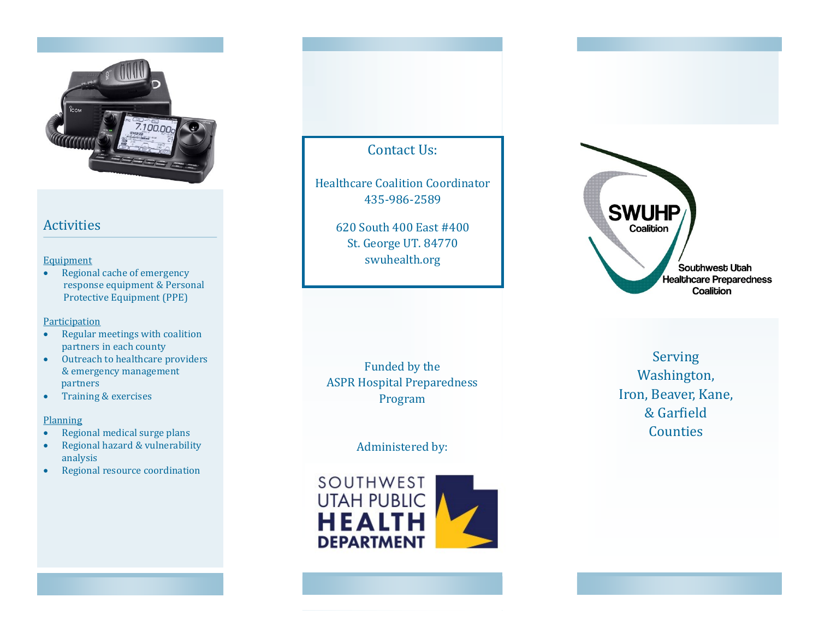

## Activities

### **Equipment**

• Regional cache of emergency response equipment & Personal Protective Equipment (PPE)

### Participation

- Regular meetings with coalition partners in each county
- Outreach to healthcare providers & emergency management partners
- Training & exercises

#### **Planning**

- Regional medical surge plans
- Regional hazard & vulnerability analysis
- Regional resource coordination

# Contact Us:

Healthcare Coalition Coordinator 435 -986 -2589

> 620 South 400 East #400 St. George UT. 84770 swuhealth.org

Funded by the ASPR Hospital Preparedness Program

Administered by:





Serving Washington, Iron, Beaver, Kane, & Garfield Counties